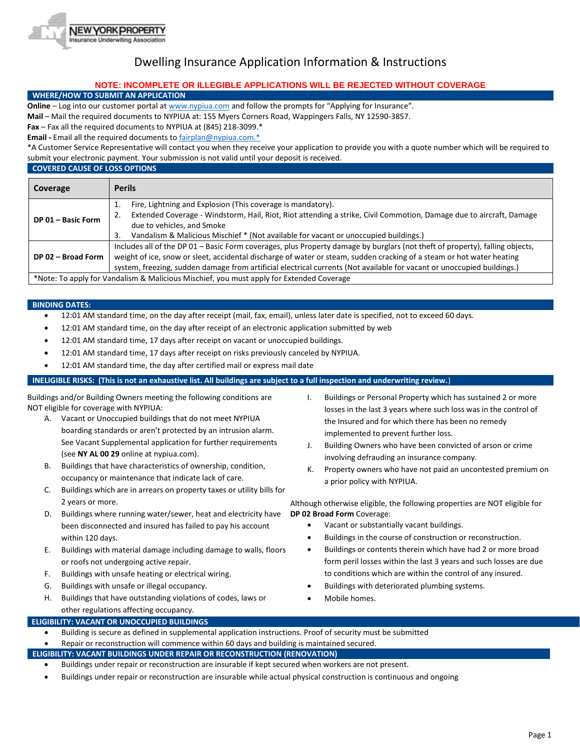

# Dwelling Insurance Application Information & Instructions

## **NOTE: INCOMPLETE OR ILLEGIBLE APPLICATIONS WILL BE REJECTED WITHOUT COVERAGE**

## **WHERE/HOW TO SUBMIT AN APPLICATION**

**Online** – Log into our customer portal a[t www.nypiua.com](http://www.nypiua.com/) and follow the prompts for "Applying for Insurance".

**Mail** – Mail the required documents to NYPIUA at: 155 Myers Corners Road, Wappingers Falls, NY 12590-3857.

**Fax** – Fax all the required documents to NYPIUA at (845) 218-3099.\*

**Email -** Email all the required documents t[o fairplan@nypiua.com.\\*](mailto:fairplan@nypiua.com.*)

\*A Customer Service Representative will contact you when they receive your application to provide you with a quote number which will be required to submit your electronic payment. Your submission is not valid until your deposit is received.

## **COVERED CAUSE OF LOSS OPTIONS**

| Coverage           | <b>Perils</b>                                                                                                                |  |  |
|--------------------|------------------------------------------------------------------------------------------------------------------------------|--|--|
|                    | Fire, Lightning and Explosion (This coverage is mandatory).<br>i.                                                            |  |  |
| DP 01 - Basic Form | Extended Coverage - Windstorm, Hail, Riot, Riot attending a strike, Civil Commotion, Damage due to aircraft, Damage          |  |  |
|                    | due to vehicles, and Smoke                                                                                                   |  |  |
|                    | Vandalism & Malicious Mischief * (Not available for vacant or unoccupied buildings.)<br>3.                                   |  |  |
|                    | Includes all of the DP 01 - Basic Form coverages, plus Property damage by burglars (not theft of property), falling objects, |  |  |
| DP 02 - Broad Form | weight of ice, snow or sleet, accidental discharge of water or steam, sudden cracking of a steam or hot water heating        |  |  |
|                    | system, freezing, sudden damage from artificial electrical currents (Not available for vacant or unoccupied buildings.)      |  |  |
|                    | *Note: To apply for Vandalism & Malicious Mischief, you must apply for Extended Coverage                                     |  |  |

#### **BINDING DATES:**

- 12:01 AM standard time, on the day after receipt (mail, fax, email), unless later date is specified, not to exceed 60 days.
- 12:01 AM standard time, on the day after receipt of an electronic application submitted by web
- 12:01 AM standard time, 17 days after receipt on vacant or unoccupied buildings.
- 12:01 AM standard time, 17 days after receipt on risks previously canceled by NYPIUA.
- 12:01 AM standard time, the day after certified mail or express mail date

## **INELIGIBLE RISKS: (This is not an exhaustive list. All buildings are subject to a full inspection and underwriting review.**)

Buildings and/or Building Owners meeting the following conditions are NOT eligible for coverage with NYPIUA:

- A. Vacant or Unoccupied buildings that do not meet NYPIUA boarding standards or aren't protected by an intrusion alarm. See Vacant Supplemental application for further requirements (see **NY AL 00 29** online at nypiua.com).
- B. Buildings that have characteristics of ownership, condition, occupancy or maintenance that indicate lack of care.
- C. Buildings which are in arrears on property taxes or utility bills for 2 years or more.
- D. Buildings where running water/sewer, heat and electricity have been disconnected and insured has failed to pay his account within 120 days.
- E. Buildings with material damage including damage to walls, floors or roofs not undergoing active repair.
- F. Buildings with unsafe heating or electrical wiring.
- G. Buildings with unsafe or illegal occupancy.
- H. Buildings that have outstanding violations of codes, laws or other regulations affecting occupancy.
- I. Buildings or Personal Property which has sustained 2 or more losses in the last 3 years where such loss was in the control of the Insured and for which there has been no remedy implemented to prevent further loss.
- J. Building Owners who have been convicted of arson or crime involving defrauding an insurance company.
- K. Property owners who have not paid an uncontested premium on a prior policy with NYPIUA.

Although otherwise eligible, the following properties are NOT eligible for **DP 02 Broad Form** Coverage:

- Vacant or substantially vacant buildings.
- Buildings in the course of construction or reconstruction.
- Buildings or contents therein which have had 2 or more broad form peril losses within the last 3 years and such losses are due to conditions which are within the control of any insured.
- Buildings with deteriorated plumbing systems.
- Mobile homes.

**ELIGIBILITY: VACANT OR UNOCCUPIED BUILDINGS**

- Building is secure as defined in supplemental application instructions. Proof of security must be submitted
- Repair or reconstruction will commence within 60 days and building is maintained secured.

## **ELIGIBILITY: VACANT BUILDINGS UNDER REPAIR OR RECONSTRUCTION (RENOVATION)**

- Buildings under repair or reconstruction are insurable if kept secured when workers are not present.
- Buildings under repair or reconstruction are insurable while actual physical construction is continuous and ongoing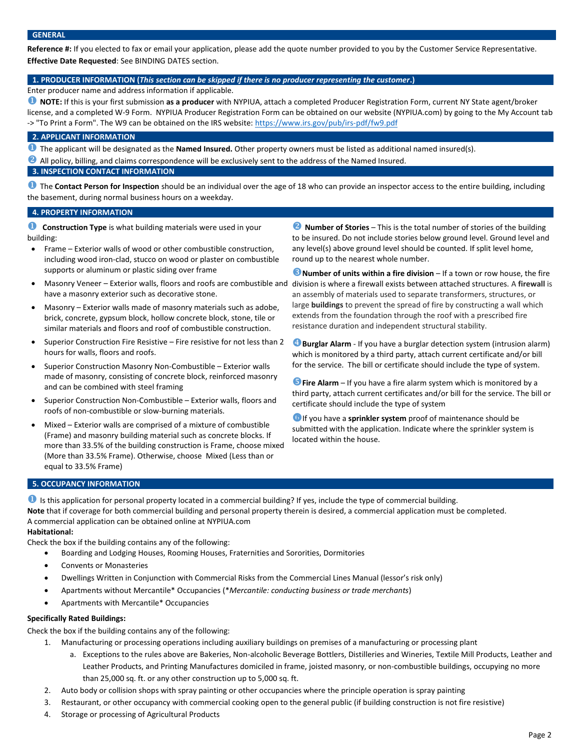**Reference #:** If you elected to fax or email your application, please add the quote number provided to you by the Customer Service Representative. **Effective Date Requested**: See BINDING DATES section.

## **1. PRODUCER INFORMATION (***This section can be skipped if there is no producer representing the customer***.)**

Enter producer name and address information if applicable.

 **NOTE:** If this is your first submission **as a producer** with NYPIUA, attach a completed Producer Registration Form, current NY State agent/broker license, and a completed W-9 Form. NYPIUA Producer Registration Form can be obtained on our website (NYPIUA.com) by going to the My Account tab -> "To Print a Form". The W9 can be obtained on the IRS website[: https://www.irs.gov/pub/irs-pdf/fw9.pdf](https://www.irs.gov/pub/irs-pdf/fw9.pdf)

#### **2. APPLICANT INFORMATION**

The applicant will be designated as the **Named Insured.** Other property owners must be listed as additional named insured(s).

All policy, billing, and claims correspondence will be exclusively sent to the address of the Named Insured.

## **3. INSPECTION CONTACT INFORMATION**

**The Contact Person for Inspection** should be an individual over the age of 18 who can provide an inspector access to the entire building, including the basement, during normal business hours on a weekday.

## **4. PROPERTY INFORMATION**

**Construction Type** is what building materials were used in your building:

- Frame Exterior walls of wood or other combustible construction, including wood iron-clad, stucco on wood or plaster on combustible supports or aluminum or plastic siding over frame
- have a masonry exterior such as decorative stone.
- Masonry Exterior walls made of masonry materials such as adobe, brick, concrete, gypsum block, hollow concrete block, stone, tile or similar materials and floors and roof of combustible construction.
- Superior Construction Fire Resistive Fire resistive for not less than 2 hours for walls, floors and roofs.
- Superior Construction Masonry Non-Combustible Exterior walls made of masonry, consisting of concrete block, reinforced masonry and can be combined with steel framing
- Superior Construction Non-Combustible Exterior walls, floors and roofs of non-combustible or slow-burning materials.
- Mixed Exterior walls are comprised of a mixture of combustible (Frame) and masonry building material such as concrete blocks. If more than 33.5% of the building construction is Frame, choose mixed (More than 33.5% Frame). Otherwise, choose Mixed (Less than or equal to 33.5% Frame)

**2** Number of Stories – This is the total number of stories of the building to be insured. Do not include stories below ground level. Ground level and any level(s) above ground level should be counted. If split level home, round up to the nearest whole number.

• Masonry Veneer - Exterior walls, floors and roofs are combustible and division is where a firewall exists between attached structures. A firewall is **B** Number of units within a fire division – If a town or row house, the fire an assembly of materials used to separate transformers, structures, or large **buildings** to prevent the spread of fire by constructing a wall which extends from the foundation through the roof with a prescribed fire resistance duration and independent structural stability.

> **Burglar Alarm** - If you have a burglar detection system (intrusion alarm) which is monitored by a third party, attach current certificate and/or bill for the service. The bill or certificate should include the type of system.

> **Fire Alarm** – If you have a fire alarm system which is monitored by a third party, attach current certificates and/or bill for the service. The bill or certificate should include the type of system

If you have a **sprinkler system** proof of maintenance should be submitted with the application. Indicate where the sprinkler system is located within the house.

### **5. OCCUPANCY INFORMATION**

**I** is this application for personal property located in a commercial building? If yes, include the type of commercial building. **Note** that if coverage for both commercial building and personal property therein is desired, a commercial application must be completed. A commercial application can be obtained online at NYPIUA.com **Habitational:**

Check the box if the building contains any of the following:

- Boarding and Lodging Houses, Rooming Houses, Fraternities and Sororities, Dormitories
- Convents or Monasteries
- Dwellings Written in Conjunction with Commercial Risks from the Commercial Lines Manual (lessor's risk only)
- Apartments without Mercantile\* Occupancies (\**Mercantile: conducting business or trade merchants*)
- Apartments with Mercantile\* Occupancies

#### **Specifically Rated Buildings:**

Check the box if the building contains any of the following:

- 1. Manufacturing or processing operations including auxiliary buildings on premises of a manufacturing or processing plant
	- a. Exceptions to the rules above are Bakeries, Non-alcoholic Beverage Bottlers, Distilleries and Wineries, Textile Mill Products, Leather and Leather Products, and Printing Manufactures domiciled in frame, joisted masonry, or non-combustible buildings, occupying no more than 25,000 sq. ft. or any other construction up to 5,000 sq. ft.
- 2. Auto body or collision shops with spray painting or other occupancies where the principle operation is spray painting
- 3. Restaurant, or other occupancy with commercial cooking open to the general public (if building construction is not fire resistive)
- 4. Storage or processing of Agricultural Products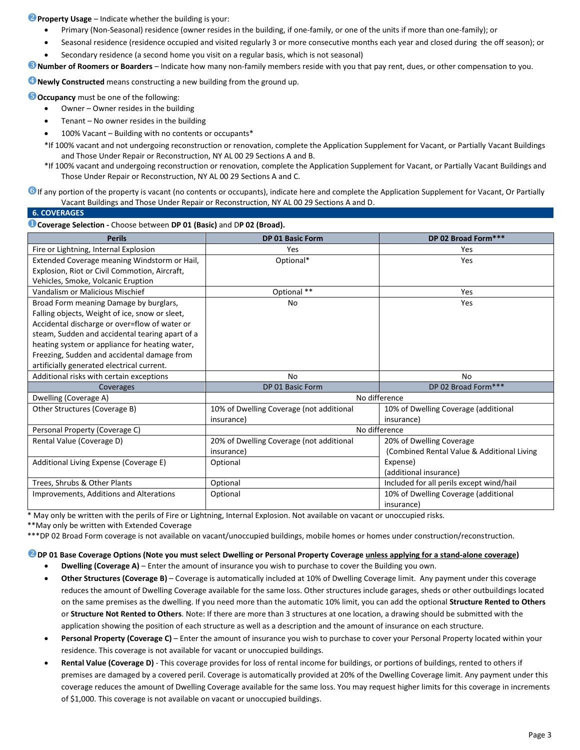**P** Property Usage – Indicate whether the building is your:

- Primary (Non-Seasonal) residence (owner resides in the building, if one-family, or one of the units if more than one-family); or
- Seasonal residence (residence occupied and visited regularly 3 or more consecutive months each year and closed during the off season); or
- Secondary residence (a second home you visit on a regular basis, which is not seasonal)

**Number of Roomers or Boarders** – Indicate how many non-family members reside with you that pay rent, dues, or other compensation to you.

*C* Newly Constructed means constructing a new building from the ground up.

**Occupancy** must be one of the following:

- Owner Owner resides in the building
- $Tenant No owner resides in the building$
- 100% Vacant Building with no contents or occupants\*
- \*If 100% vacant and not undergoing reconstruction or renovation, complete the Application Supplement for Vacant, or Partially Vacant Buildings and Those Under Repair or Reconstruction, NY AL 00 29 Sections A and B.
- \*If 100% vacant and undergoing reconstruction or renovation, complete the Application Supplement for Vacant, or Partially Vacant Buildings and Those Under Repair or Reconstruction, NY AL 00 29 Sections A and C.

**O** If any portion of the property is vacant (no contents or occupants), indicate here and complete the Application Supplement for Vacant, Or Partially Vacant Buildings and Those Under Repair or Reconstruction, NY AL 00 29 Sections A and D.

|  | <b>6. COVERAGES</b> |  |
|--|---------------------|--|
|  |                     |  |

#### **Coverage Selection -** Choose between **DP 01 (Basic)** and D**P 02 (Broad).**

| <b>Perils</b>                                   | <b>DP 01 Basic Form</b>                  | DP 02 Broad Form***                        |  |  |  |  |
|-------------------------------------------------|------------------------------------------|--------------------------------------------|--|--|--|--|
| Fire or Lightning, Internal Explosion           | Yes                                      | Yes                                        |  |  |  |  |
| Extended Coverage meaning Windstorm or Hail,    | Optional*                                | Yes                                        |  |  |  |  |
| Explosion, Riot or Civil Commotion, Aircraft,   |                                          |                                            |  |  |  |  |
| Vehicles, Smoke, Volcanic Eruption              |                                          |                                            |  |  |  |  |
| Vandalism or Malicious Mischief                 | Optional **                              | Yes                                        |  |  |  |  |
| Broad Form meaning Damage by burglars,          | No                                       | Yes                                        |  |  |  |  |
| Falling objects, Weight of ice, snow or sleet,  |                                          |                                            |  |  |  |  |
| Accidental discharge or over=flow of water or   |                                          |                                            |  |  |  |  |
| steam, Sudden and accidental tearing apart of a |                                          |                                            |  |  |  |  |
| heating system or appliance for heating water,  |                                          |                                            |  |  |  |  |
| Freezing, Sudden and accidental damage from     |                                          |                                            |  |  |  |  |
| artificially generated electrical current.      |                                          |                                            |  |  |  |  |
| Additional risks with certain exceptions        | No                                       | No                                         |  |  |  |  |
| Coverages                                       | DP 01 Basic Form                         | DP 02 Broad Form***                        |  |  |  |  |
| Dwelling (Coverage A)                           | No difference                            |                                            |  |  |  |  |
| Other Structures (Coverage B)                   | 10% of Dwelling Coverage (not additional | 10% of Dwelling Coverage (additional       |  |  |  |  |
|                                                 | insurance)                               | insurance)                                 |  |  |  |  |
| Personal Property (Coverage C)                  | No difference                            |                                            |  |  |  |  |
| Rental Value (Coverage D)                       | 20% of Dwelling Coverage (not additional | 20% of Dwelling Coverage                   |  |  |  |  |
|                                                 | insurance)                               | (Combined Rental Value & Additional Living |  |  |  |  |
| Additional Living Expense (Coverage E)          | Optional                                 | Expense)                                   |  |  |  |  |
|                                                 |                                          | (additional insurance)                     |  |  |  |  |
| Trees, Shrubs & Other Plants                    | Optional                                 | Included for all perils except wind/hail   |  |  |  |  |
| Improvements, Additions and Alterations         | Optional                                 | 10% of Dwelling Coverage (additional       |  |  |  |  |
|                                                 |                                          | insurance)                                 |  |  |  |  |

\* May only be written with the perils of Fire or Lightning, Internal Explosion. Not available on vacant or unoccupied risks.

\*\*May only be written with Extended Coverage

\*\*\*DP 02 Broad Form coverage is not available on vacant/unoccupied buildings, mobile homes or homes under construction/reconstruction.

#### **DP 01 Base Coverage Options (Note you must select Dwelling or Personal Property Coverage unless applying for a stand-alone coverage)**

- **Dwelling (Coverage A)** Enter the amount of insurance you wish to purchase to cover the Building you own.
- **Other Structures (Coverage B)**  Coverage is automatically included at 10% of Dwelling Coverage limit. Any payment under this coverage reduces the amount of Dwelling Coverage available for the same loss. Other structures include garages, sheds or other outbuildings located on the same premises as the dwelling. If you need more than the automatic 10% limit, you can add the optional **Structure Rented to Others** or **Structure Not Rented to Others**. Note: If there are more than 3 structures at one location, a drawing should be submitted with the application showing the position of each structure as well as a description and the amount of insurance on each structure.
- **Personal Property (Coverage C)** Enter the amount of insurance you wish to purchase to cover your Personal Property located within your residence. This coverage is not available for vacant or unoccupied buildings.
- **Rental Value (Coverage D)** This coverage provides for loss of rental income for buildings, or portions of buildings, rented to others if premises are damaged by a covered peril. Coverage is automatically provided at 20% of the Dwelling Coverage limit. Any payment under this coverage reduces the amount of Dwelling Coverage available for the same loss. You may request higher limits for this coverage in increments of \$1,000. This coverage is not available on vacant or unoccupied buildings.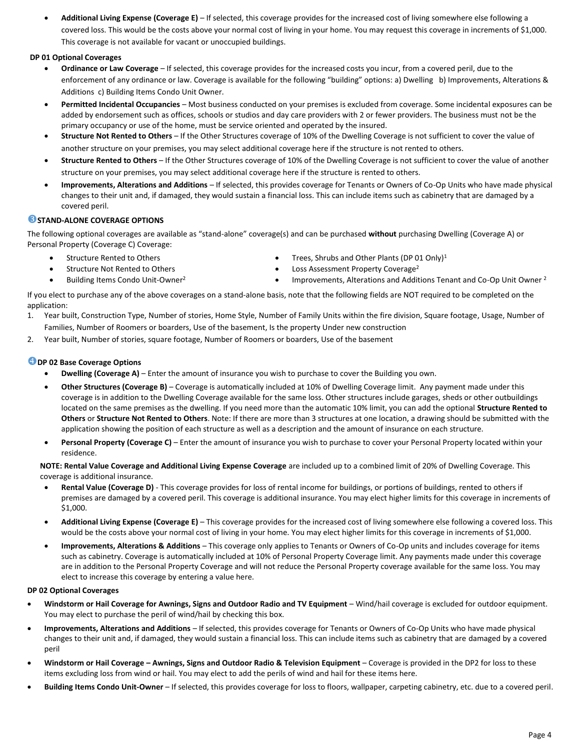• **Additional Living Expense (Coverage E)** – If selected, this coverage provides for the increased cost of living somewhere else following a covered loss. This would be the costs above your normal cost of living in your home. You may request this coverage in increments of \$1,000. This coverage is not available for vacant or unoccupied buildings.

## **DP 01 Optional Coverages**

- **Ordinance or Law Coverage** If selected, this coverage provides for the increased costs you incur, from a covered peril, due to the enforcement of any ordinance or law. Coverage is available for the following "building" options: a) Dwelling b) Improvements, Alterations & Additions c) Building Items Condo Unit Owner.
- **Permitted Incidental Occupancies** Most business conducted on your premises is excluded from coverage. Some incidental exposures can be added by endorsement such as offices, schools or studios and day care providers with 2 or fewer providers. The business must not be the primary occupancy or use of the home, must be service oriented and operated by the insured.
- **Structure Not Rented to Others** If the Other Structures coverage of 10% of the Dwelling Coverage is not sufficient to cover the value of another structure on your premises, you may select additional coverage here if the structure is not rented to others.
- **Structure Rented to Others** If the Other Structures coverage of 10% of the Dwelling Coverage is not sufficient to cover the value of another structure on your premises, you may select additional coverage here if the structure is rented to others.
- **Improvements, Alterations and Additions** If selected, this provides coverage for Tenants or Owners of Co-Op Units who have made physical changes to their unit and, if damaged, they would sustain a financial loss. This can include items such as cabinetry that are damaged by a covered peril.

## **STAND-ALONE COVERAGE OPTIONS**

The following optional coverages are available as "stand-alone" coverage(s) and can be purchased **without** purchasing Dwelling (Coverage A) or Personal Property (Coverage C) Coverage:

- Structure Rented to Others
- Structure Not Rented to Others
- Building Items Condo Unit-Owner<sup>2</sup>
- Trees, Shrubs and Other Plants (DP 01 Only)<sup>1</sup>
- Loss Assessment Property Coverage<sup>2</sup>
- Improvements, Alterations and Additions Tenant and Co-Op Unit Owner<sup>2</sup>

If you elect to purchase any of the above coverages on a stand-alone basis, note that the following fields are NOT required to be completed on the application:

- 1. Year built, Construction Type, Number of stories, Home Style, Number of Family Units within the fire division, Square footage, Usage, Number of Families, Number of Roomers or boarders, Use of the basement, Is the property Under new construction
- 2. Year built, Number of stories, square footage, Number of Roomers or boarders, Use of the basement

## **DP 02 Base Coverage Options**

- **Dwelling (Coverage A)** Enter the amount of insurance you wish to purchase to cover the Building you own.
- **Other Structures (Coverage B)**  Coverage is automatically included at 10% of Dwelling Coverage limit. Any payment made under this coverage is in addition to the Dwelling Coverage available for the same loss. Other structures include garages, sheds or other outbuildings located on the same premises as the dwelling. If you need more than the automatic 10% limit, you can add the optional **Structure Rented to Others** or **Structure Not Rented to Others**. Note: If there are more than 3 structures at one location, a drawing should be submitted with the application showing the position of each structure as well as a description and the amount of insurance on each structure.
- Personal Property (Coverage C) Enter the amount of insurance you wish to purchase to cover your Personal Property located within your residence.

**NOTE: Rental Value Coverage and Additional Living Expense Coverage** are included up to a combined limit of 20% of Dwelling Coverage. This coverage is additional insurance.

- **Rental Value (Coverage D)** This coverage provides for loss of rental income for buildings, or portions of buildings, rented to others if premises are damaged by a covered peril. This coverage is additional insurance. You may elect higher limits for this coverage in increments of \$1,000.
- **Additional Living Expense (Coverage E)**  This coverage provides for the increased cost of living somewhere else following a covered loss. This would be the costs above your normal cost of living in your home. You may elect higher limits for this coverage in increments of \$1,000.
- **Improvements, Alterations & Additions**  This coverage only applies to Tenants or Owners of Co-Op units and includes coverage for items such as cabinetry. Coverage is automatically included at 10% of Personal Property Coverage limit. Any payments made under this coverage are in addition to the Personal Property Coverage and will not reduce the Personal Property coverage available for the same loss. You may elect to increase this coverage by entering a value here.

## **DP 02 Optional Coverages**

- **Windstorm or Hail Coverage for Awnings, Signs and Outdoor Radio and TV Equipment** Wind/hail coverage is excluded for outdoor equipment. You may elect to purchase the peril of wind/hail by checking this box.
- **Improvements, Alterations and Additions** If selected, this provides coverage for Tenants or Owners of Co-Op Units who have made physical changes to their unit and, if damaged, they would sustain a financial loss. This can include items such as cabinetry that are damaged by a covered peril
- **Windstorm or Hail Coverage – Awnings, Signs and Outdoor Radio & Television Equipment** Coverage is provided in the DP2 for loss to these items excluding loss from wind or hail. You may elect to add the perils of wind and hail for these items here.
- **Building Items Condo Unit-Owner** If selected, this provides coverage for loss to floors, wallpaper, carpeting cabinetry, etc. due to a covered peril.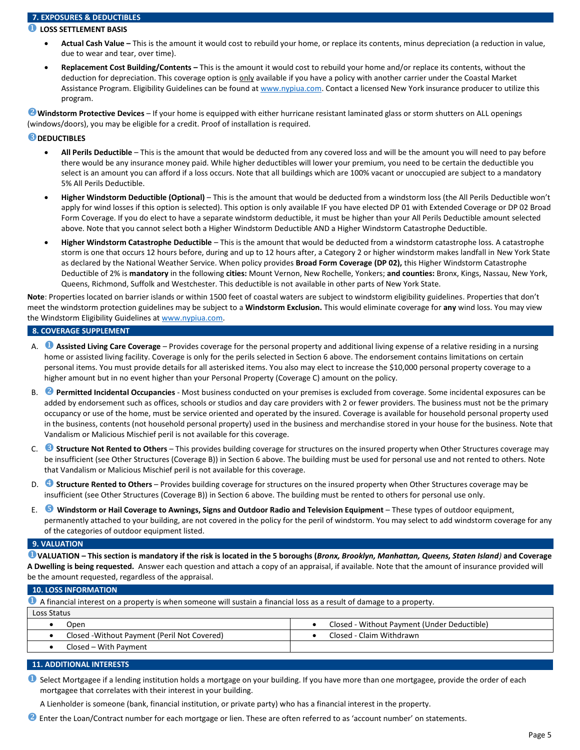## **7. EXPOSURES & DEDUCTIBLES**

## **LOSS SETTLEMENT BASIS**

- **Actual Cash Value –** This is the amount it would cost to rebuild your home, or replace its contents, minus depreciation (a reduction in value, due to wear and tear, over time).
- **Replacement Cost Building/Contents –** This is the amount it would cost to rebuild your home and/or replace its contents, without the deduction for depreciation. This coverage option is only available if you have a policy with another carrier under the Coastal Market Assistance Program. Eligibility Guidelines can be found a[t www.nypiua.com.](http://www.nypiua.com/) Contact a licensed New York insurance producer to utilize this program.

**Windstorm Protective Devices** – If your home is equipped with either hurricane resistant laminated glass or storm shutters on ALL openings (windows/doors), you may be eligible for a credit. Proof of installation is required.

## **B** DEDUCTIBLES

- **All Perils Deductible** This is the amount that would be deducted from any covered loss and will be the amount you will need to pay before there would be any insurance money paid. While higher deductibles will lower your premium, you need to be certain the deductible you select is an amount you can afford if a loss occurs. Note that all buildings which are 100% vacant or unoccupied are subject to a mandatory 5% All Perils Deductible.
- **Higher Windstorm Deductible (Optional)**  This is the amount that would be deducted from a windstorm loss (the All Perils Deductible won't apply for wind losses if this option is selected). This option is only available IF you have elected DP 01 with Extended Coverage or DP 02 Broad Form Coverage. If you do elect to have a separate windstorm deductible, it must be higher than your All Perils Deductible amount selected above. Note that you cannot select both a Higher Windstorm Deductible AND a Higher Windstorm Catastrophe Deductible.
- **Higher Windstorm Catastrophe Deductible**  This is the amount that would be deducted from a windstorm catastrophe loss. A catastrophe storm is one that occurs 12 hours before, during and up to 12 hours after, a Category 2 or higher windstorm makes landfall in New York State as declared by the National Weather Service. When policy provides **Broad Form Coverage (DP 02),** this Higher Windstorm Catastrophe Deductible of 2% is **mandatory** in the following **cities:** Mount Vernon, New Rochelle, Yonkers; **and counties:** Bronx, Kings, Nassau, New York, Queens, Richmond, Suffolk and Westchester. This deductible is not available in other parts of New York State.

**Note**: Properties located on barrier islands or within 1500 feet of coastal waters are subject to windstorm eligibility guidelines. Properties that don't meet the windstorm protection guidelines may be subject to a **Windstorm Exclusion.** This would eliminate coverage for **any** wind loss. You may view the Windstorm Eligibility Guidelines at [www.nypiua.com.](http://www.nypiua.com/)

## **8. COVERAGE SUPPLEMENT**

- A. **Assisted Living Care Coverage** Provides coverage for the personal property and additional living expense of a relative residing in a nursing home or assisted living facility. Coverage is only for the perils selected in Section 6 above. The endorsement contains limitations on certain personal items. You must provide details for all asterisked items. You also may elect to increase the \$10,000 personal property coverage to a higher amount but in no event higher than your Personal Property (Coverage C) amount on the policy.
- B. **Permitted Incidental Occupancies**  Most business conducted on your premises is excluded from coverage. Some incidental exposures can be added by endorsement such as offices, schools or studios and day care providers with 2 or fewer providers. The business must not be the primary occupancy or use of the home, must be service oriented and operated by the insured. Coverage is available for household personal property used in the business, contents (not household personal property) used in the business and merchandise stored in your house for the business. Note that Vandalism or Malicious Mischief peril is not available for this coverage.
- C. **Structure Not Rented to Others** This provides building coverage for structures on the insured property when Other Structures coverage may be insufficient (see Other Structures (Coverage B)) in Section 6 above. The building must be used for personal use and not rented to others. Note that Vandalism or Malicious Mischief peril is not available for this coverage.
- D. **Structure Rented to Others** Provides building coverage for structures on the insured property when Other Structures coverage may be insufficient (see Other Structures (Coverage B)) in Section 6 above. The building must be rented to others for personal use only.
- E. **Windstorm or Hail Coverage to Awnings, Signs and Outdoor Radio and Television Equipment** These types of outdoor equipment, permanently attached to your building, are not covered in the policy for the peril of windstorm. You may select to add windstorm coverage for any of the categories of outdoor equipment listed.

#### **9. VALUATION**

**VALUATION – This section is mandatory if the risk is located in the 5 boroughs (***Bronx, Brooklyn, Manhattan, Queens, Staten Island)* **and Coverage A Dwelling is being requested.** Answer each question and attach a copy of an appraisal, if available. Note that the amount of insurance provided will be the amount requested, regardless of the appraisal.

#### **10. LOSS INFORMATION**

| A financial interest on a property is when someone will sustain a financial loss as a result of damage to a property. |                                             |  |  |  |  |
|-----------------------------------------------------------------------------------------------------------------------|---------------------------------------------|--|--|--|--|
| Loss Status                                                                                                           |                                             |  |  |  |  |
| Open                                                                                                                  | Closed - Without Payment (Under Deductible) |  |  |  |  |
| Closed - Without Payment (Peril Not Covered)                                                                          | Closed - Claim Withdrawn                    |  |  |  |  |
| Closed – With Payment                                                                                                 |                                             |  |  |  |  |

### **11. ADDITIONAL INTERESTS**

- **O** Select Mortgagee if a lending institution holds a mortgage on your building. If you have more than one mortgagee, provide the order of each mortgagee that correlates with their interest in your building.
	- A Lienholder is someone (bank, financial institution, or private party) who has a financial interest in the property.
- **<sup>2</sup>** Enter the Loan/Contract number for each mortgage or lien. These are often referred to as 'account number' on statements.